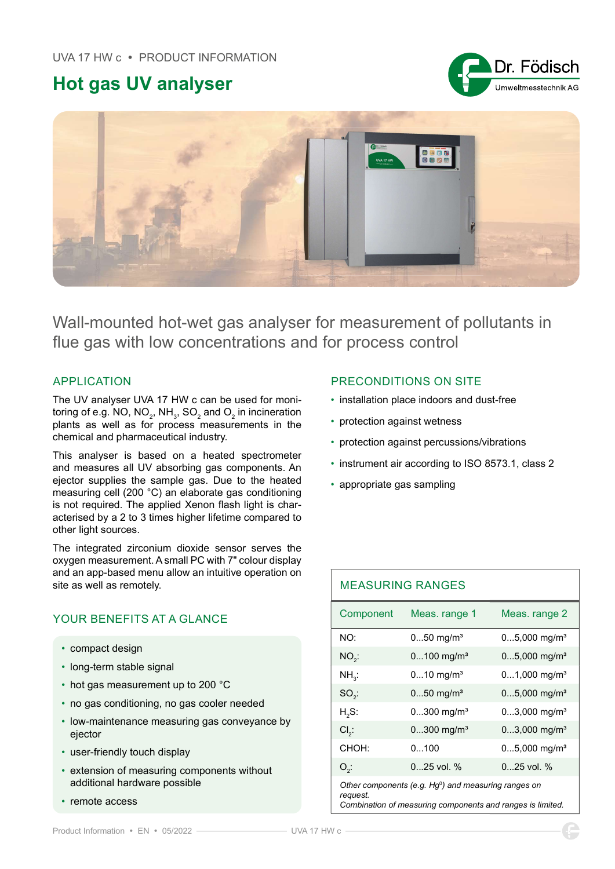# Hot gas UV analyser





Wall-mounted hot-wet gas analyser for measurement of pollutants in flue gas with low concentrations and for process control

### APPLICATION

The UV analyser UVA 17 HW c can be used for monitoring of e.g. NO, NO $_{\textrm{\tiny{2}}}$ , NH $_{\textrm{\tiny{3}}}$ , SO $_{\textrm{\tiny{2}}}$  and O $_{\textrm{\tiny{2}}}$  in incineration plants as well as for process measurements in the chemical and pharmaceutical industry.

This analyser is based on a heated spectrometer and measures all UV absorbing gas components. An ejector supplies the sample gas. Due to the heated measuring cell (200 °C) an elaborate gas conditioning is not required. The applied Xenon flash light is characterised by a 2 to 3 times higher lifetime compared to other light sources.

The integrated zirconium dioxide sensor serves the oxygen measurement. A small PC with 7" colour display and an app-based menu allow an intuitive operation on site as well as remotely.

## YOUR BENEFITS AT A GLANCE

- compact design
- long-term stable signal
- hot gas measurement up to 200 °C
- no gas conditioning, no gas cooler needed
- low-maintenance measuring gas conveyance by ejector
- user-friendly touch display
- extension of measuring components without additional hardware possible
- remote access

#### PRECONDITIONS ON SITE

- installation place indoors and dust-free
- protection against wetness
- protection against percussions/vibrations
- instrument air according to ISO 8573.1, class 2
- appropriate gas sampling

| <b>MEASURING RANGES</b>                                             |                          |                            |
|---------------------------------------------------------------------|--------------------------|----------------------------|
| Component                                                           | Meas. range 1            | Meas. range 2              |
| NO:                                                                 | $050$ mg/m <sup>3</sup>  | $05,000$ mg/m <sup>3</sup> |
| $NO2$ :                                                             | $0100$ mg/m <sup>3</sup> | $05,000$ mg/m <sup>3</sup> |
| $NH_{3}$ :                                                          | $010$ mg/m <sup>3</sup>  | $01,000$ mg/m <sup>3</sup> |
| $SO2$ :                                                             | $050$ mg/m <sup>3</sup>  | $05,000$ mg/m <sup>3</sup> |
| $H2S$ :                                                             | $0300$ mg/m <sup>3</sup> | $03,000$ mg/m <sup>3</sup> |
| $Cl2$ :                                                             | $0300$ mg/m <sup>3</sup> | $03,000$ mg/m <sup>3</sup> |
| CHOH:                                                               | 0100                     | $05,000$ mg/m <sup>3</sup> |
| $O_{\rho}$ :                                                        | $0.25$ vol. %            | $0.25$ vol. %              |
| Other components (e.g. $Hg^0$ ) and measuring ranges on<br>request. |                          |                            |

Combination of measuring components and ranges is limited.